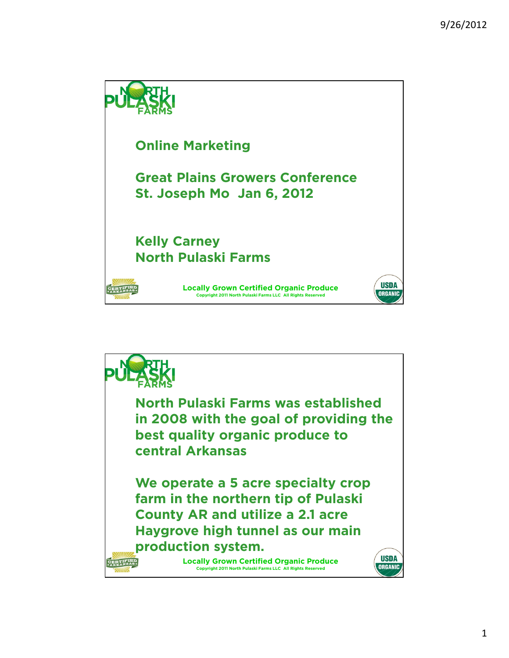

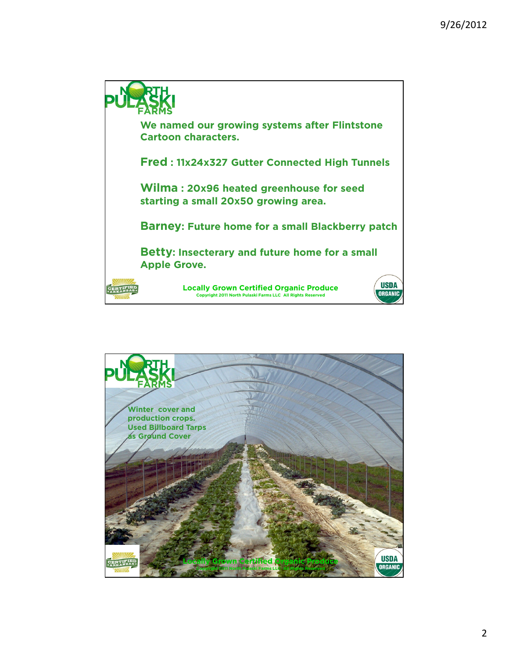

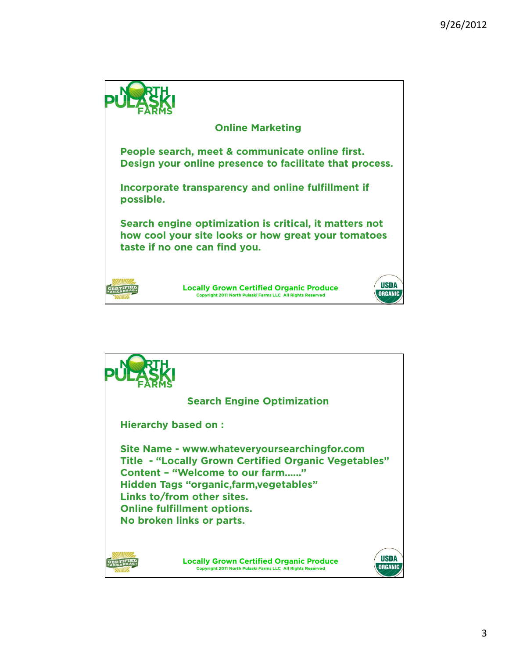

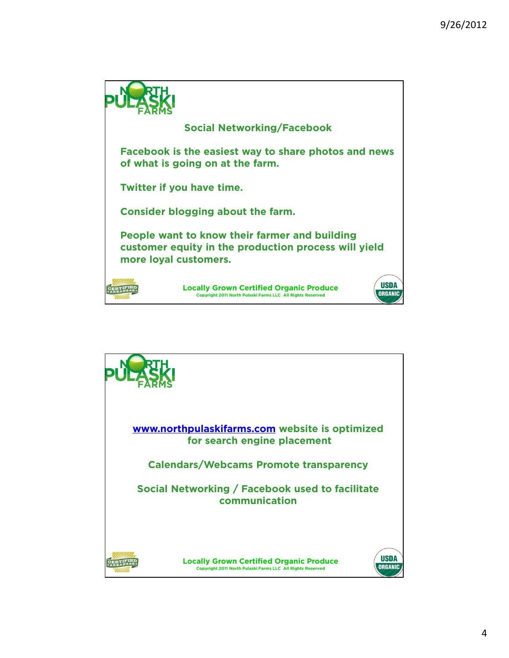

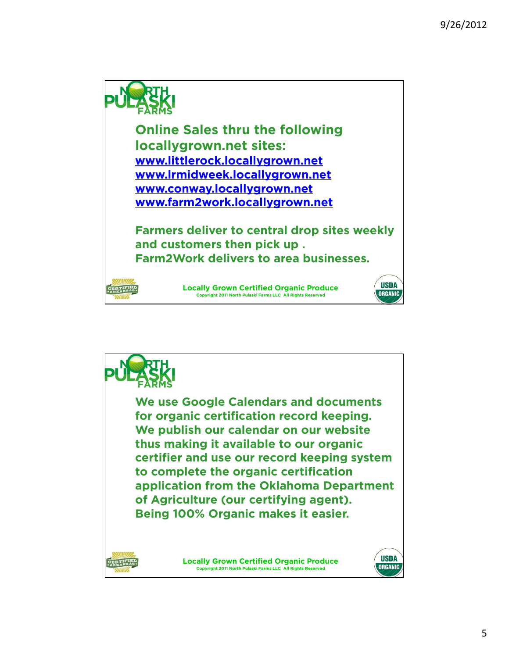

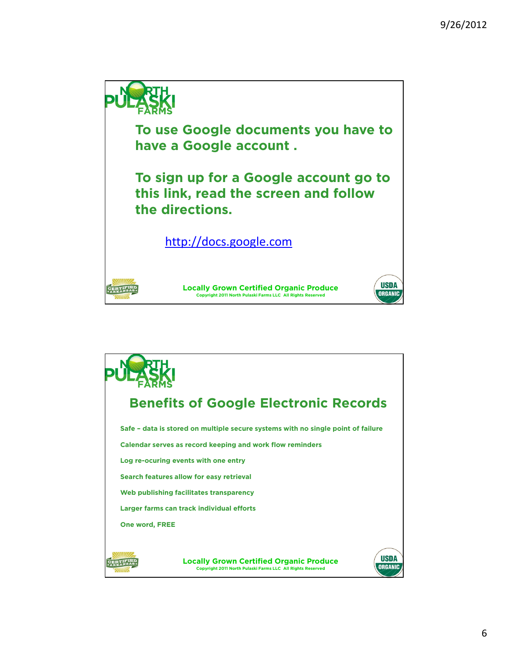